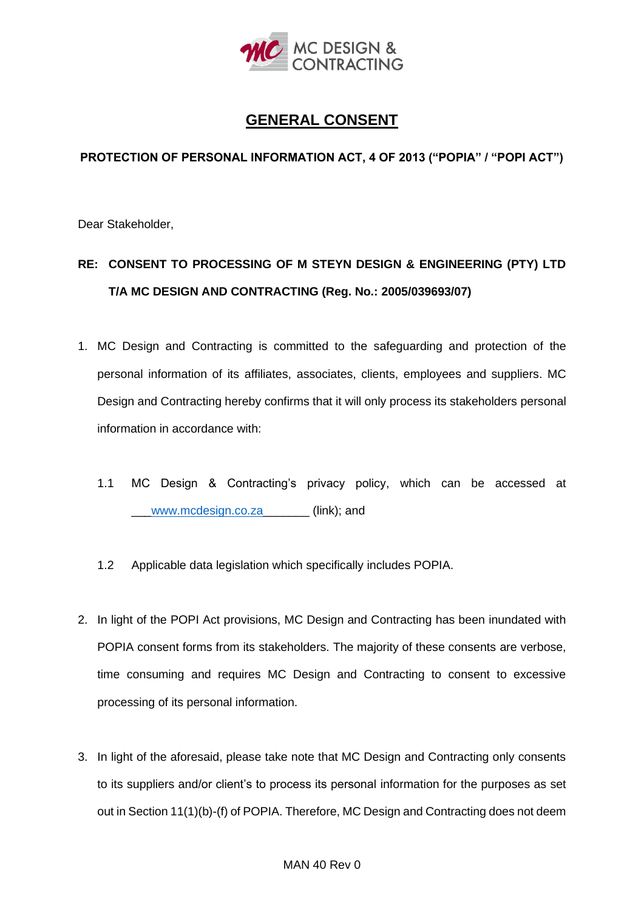

## **GENERAL CONSENT**

## **PROTECTION OF PERSONAL INFORMATION ACT, 4 OF 2013 ("POPIA" / "POPI ACT")**

Dear Stakeholder,

## **RE: CONSENT TO PROCESSING OF M STEYN DESIGN & ENGINEERING (PTY) LTD T/A MC DESIGN AND CONTRACTING (Reg. No.: 2005/039693/07)**

- 1. MC Design and Contracting is committed to the safeguarding and protection of the personal information of its affiliates, associates, clients, employees and suppliers. MC Design and Contracting hereby confirms that it will only process its stakeholders personal information in accordance with:
	- 1.1 MC Design & Contracting's privacy policy, which can be accessed at \_\_[\\_www.mcdesign.co.za\\_](https://www.mcdesign.co.za/)\_\_\_\_\_\_ (link); and
	- 1.2 Applicable data legislation which specifically includes POPIA.
- 2. In light of the POPI Act provisions, MC Design and Contracting has been inundated with POPIA consent forms from its stakeholders. The majority of these consents are verbose, time consuming and requires MC Design and Contracting to consent to excessive processing of its personal information.
- 3. In light of the aforesaid, please take note that MC Design and Contracting only consents to its suppliers and/or client's to process its personal information for the purposes as set out in Section 11(1)(b)-(f) of POPIA. Therefore, MC Design and Contracting does not deem